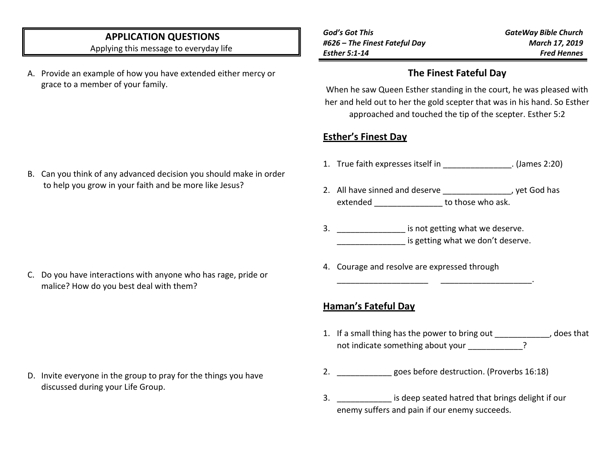## **APPLICATION QUESTIONS**

Applying this message to everyday life

A. Provide an example of how you have extended either mercy or grace to a member of your family.

*God's Got This #626 – The Finest Fateful Day Esther 5:1-14*

*GateWay Bible Church March 17, 2019 Fred Hennes*

## **The Finest Fateful Day**

When he saw Queen Esther standing in the court, he was pleased with her and held out to her the gold scepter that was in his hand. So Esther approached and touched the tip of the scepter. Esther 5:2

# **Esther's Finest Day**

- 1. True faith expresses itself in  $\blacksquare$  (James 2:20)
- 2. All have sinned and deserve **Example 2.** All have sinned and deserve extended extended to those who ask.
- 3. \_\_\_\_\_\_\_\_\_\_\_\_\_\_\_\_\_\_ is not getting what we deserve. is getting what we don't deserve.

\_\_\_\_\_\_\_\_\_\_\_\_\_\_\_\_\_\_\_\_ \_\_\_\_\_\_\_\_\_\_\_\_\_\_\_\_\_\_\_\_.

4. Courage and resolve are expressed through

### **Haman's Fateful Day**

- 1. If a small thing has the power to bring out \_\_\_\_\_\_\_\_\_\_\_\_, does that not indicate something about your  $\cdot$
- 2. **Example 2.** goes before destruction. (Proverbs 16:18)
- 3. \_\_\_\_\_\_\_\_\_\_\_\_ is deep seated hatred that brings delight if our enemy suffers and pain if our enemy succeeds.

B. Can you think of any advanced decision you should make in order to help you grow in your faith and be more like Jesus?

C. Do you have interactions with anyone who has rage, pride or malice? How do you best deal with them?

D. Invite everyone in the group to pray for the things you have discussed during your Life Group.